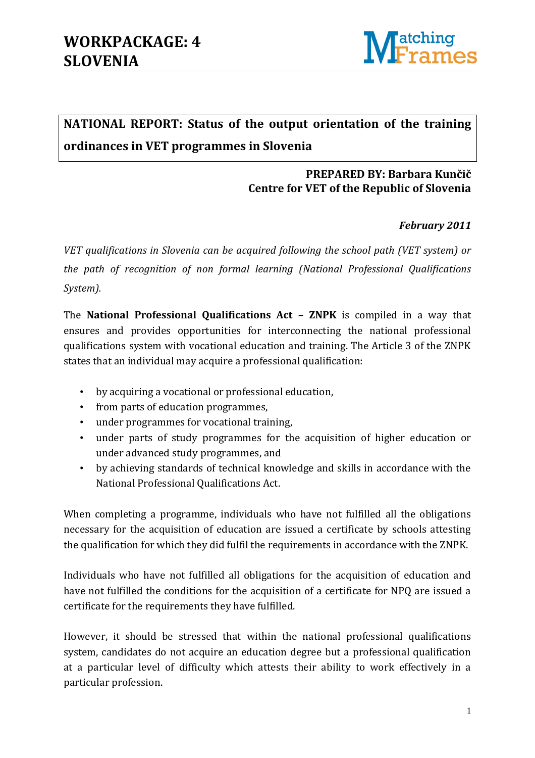

## **NATIONAL REPORT: Status of the output orientation of the training ordinances in VET programmes in Slovenia**

### **PREPARED BY: Barbara Kunčič Centre for VET of the Republic of Slovenia**

### *February 2011*

*VET qualifications in Slovenia can be acquired following the school path (VET system) or the path of recognition of non formal learning (National Professional Qualifications System).* 

The **National Professional Qualifications Act – ZNPK** is compiled in a way that ensures and provides opportunities for interconnecting the national professional qualifications system with vocational education and training. The Article 3 of the ZNPK states that an individual may acquire a professional qualification:

- by acquiring a vocational or professional education,
- from parts of education programmes,
- under programmes for vocational training,
- under parts of study programmes for the acquisition of higher education or under advanced study programmes, and
- by achieving standards of technical knowledge and skills in accordance with the National Professional Qualifications Act.

When completing a programme, individuals who have not fulfilled all the obligations necessary for the acquisition of education are issued a certificate by schools attesting the qualification for which they did fulfil the requirements in accordance with the ZNPK.

Individuals who have not fulfilled all obligations for the acquisition of education and have not fulfilled the conditions for the acquisition of a certificate for NPQ are issued a certificate for the requirements they have fulfilled.

However, it should be stressed that within the national professional qualifications system, candidates do not acquire an education degree but a professional qualification at a particular level of difficulty which attests their ability to work effectively in a particular profession.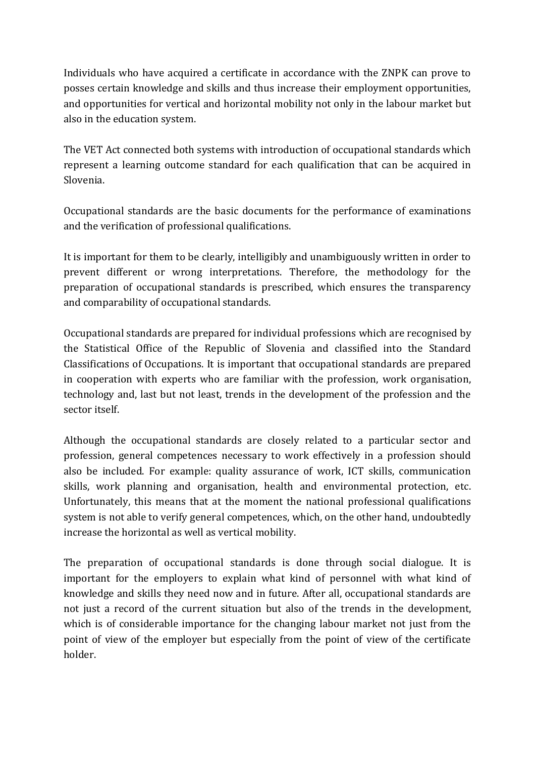Individuals who have acquired a certificate in accordance with the ZNPK can prove to posses certain knowledge and skills and thus increase their employment opportunities, and opportunities for vertical and horizontal mobility not only in the labour market but also in the education system.

The VET Act connected both systems with introduction of occupational standards which represent a learning outcome standard for each qualification that can be acquired in Slovenia.

Occupational standards are the basic documents for the performance of examinations and the verification of professional qualifications.

It is important for them to be clearly, intelligibly and unambiguously written in order to prevent different or wrong interpretations. Therefore, the methodology for the preparation of occupational standards is prescribed, which ensures the transparency and comparability of occupational standards.

Occupational standards are prepared for individual professions which are recognised by the Statistical Office of the Republic of Slovenia and classified into the Standard Classifications of Occupations. It is important that occupational standards are prepared in cooperation with experts who are familiar with the profession, work organisation, technology and, last but not least, trends in the development of the profession and the sector itself.

Although the occupational standards are closely related to a particular sector and profession, general competences necessary to work effectively in a profession should also be included. For example: quality assurance of work, ICT skills, communication skills, work planning and organisation, health and environmental protection, etc. Unfortunately, this means that at the moment the national professional qualifications system is not able to verify general competences, which, on the other hand, undoubtedly increase the horizontal as well as vertical mobility.

The preparation of occupational standards is done through social dialogue. It is important for the employers to explain what kind of personnel with what kind of knowledge and skills they need now and in future. After all, occupational standards are not just a record of the current situation but also of the trends in the development, which is of considerable importance for the changing labour market not just from the point of view of the employer but especially from the point of view of the certificate holder.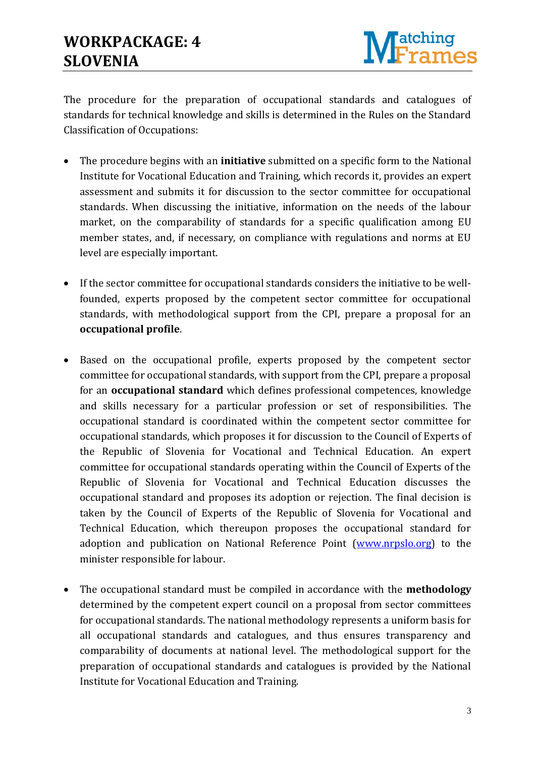

The procedure for the preparation of occupational standards and catalogues of standards for technical knowledge and skills is determined in the Rules on the Standard Classification of Occupations:

- The procedure begins with an **initiative** submitted on a specific form to the National Institute for Vocational Education and Training, which records it, provides an expert assessment and submits it for discussion to the sector committee for occupational standards. When discussing the initiative, information on the needs of the labour market, on the comparability of standards for a specific qualification among EU member states, and, if necessary, on compliance with regulations and norms at EU level are especially important.
- If the sector committee for occupational standards considers the initiative to be wellfounded, experts proposed by the competent sector committee for occupational standards, with methodological support from the CPI, prepare a proposal for an **occupational profile**.
- Based on the occupational profile, experts proposed by the competent sector committee for occupational standards, with support from the CPI, prepare a proposal for an **occupational standard** which defines professional competences, knowledge and skills necessary for a particular profession or set of responsibilities. The occupational standard is coordinated within the competent sector committee for occupational standards, which proposes it for discussion to the Council of Experts of the Republic of Slovenia for Vocational and Technical Education. An expert committee for occupational standards operating within the Council of Experts of the Republic of Slovenia for Vocational and Technical Education discusses the occupational standard and proposes its adoption or rejection. The final decision is taken by the Council of Experts of the Republic of Slovenia for Vocational and Technical Education, which thereupon proposes the occupational standard for adoption and publication on National Reference Point [\(www.nrpslo.org\)](http://www.nrpslo.org/) to the minister responsible for labour.
- The occupational standard must be compiled in accordance with the **methodology** determined by the competent expert council on a proposal from sector committees for occupational standards. The national methodology represents a uniform basis for all occupational standards and catalogues, and thus ensures transparency and comparability of documents at national level. The methodological support for the preparation of occupational standards and catalogues is provided by the National Institute for Vocational Education and Training.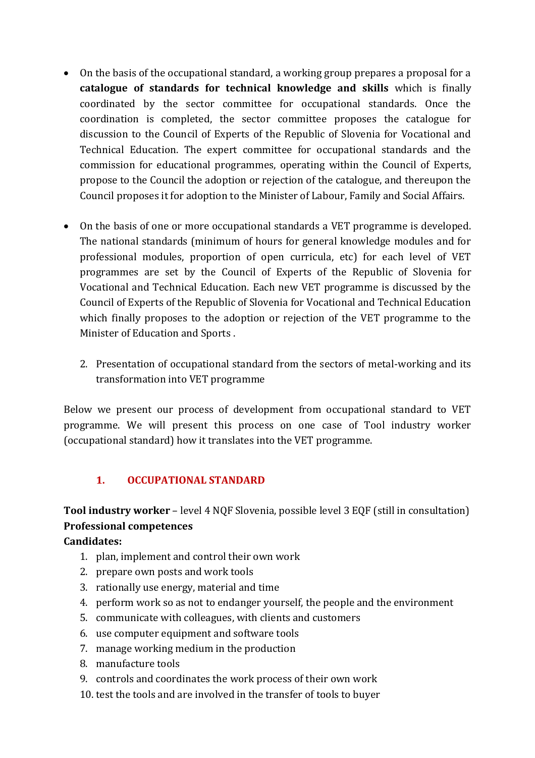- On the basis of the occupational standard, a working group prepares a proposal for a **catalogue of standards for technical knowledge and skills** which is finally coordinated by the sector committee for occupational standards. Once the coordination is completed, the sector committee proposes the catalogue for discussion to the Council of Experts of the Republic of Slovenia for Vocational and Technical Education. The expert committee for occupational standards and the commission for educational programmes, operating within the Council of Experts, propose to the Council the adoption or rejection of the catalogue, and thereupon the Council proposes it for adoption to the Minister of Labour, Family and Social Affairs.
- On the basis of one or more occupational standards a VET programme is developed. The national standards (minimum of hours for general knowledge modules and for professional modules, proportion of open curricula, etc) for each level of VET programmes are set by the Council of Experts of the Republic of Slovenia for Vocational and Technical Education. Each new VET programme is discussed by the Council of Experts of the Republic of Slovenia for Vocational and Technical Education which finally proposes to the adoption or rejection of the VET programme to the Minister of Education and Sports .
	- 2. Presentation of occupational standard from the sectors of metal-working and its transformation into VET programme

Below we present our process of development from occupational standard to VET programme. We will present this process on one case of Tool industry worker (occupational standard) how it translates into the VET programme.

### **1. OCCUPATIONAL STANDARD**

### **Tool industry worker** – level 4 NQF Slovenia, possible level 3 EQF (still in consultation) **Professional competences**

#### **Candidates:**

- 1. plan, implement and control their own work
- 2. prepare own posts and work tools
- 3. rationally use energy, material and time
- 4. perform work so as not to endanger yourself, the people and the environment
- 5. communicate with colleagues, with clients and customers
- 6. use computer equipment and software tools
- 7. manage working medium in the production
- 8. manufacture tools
- 9. controls and coordinates the work process of their own work
- 10. test the tools and are involved in the transfer of tools to buyer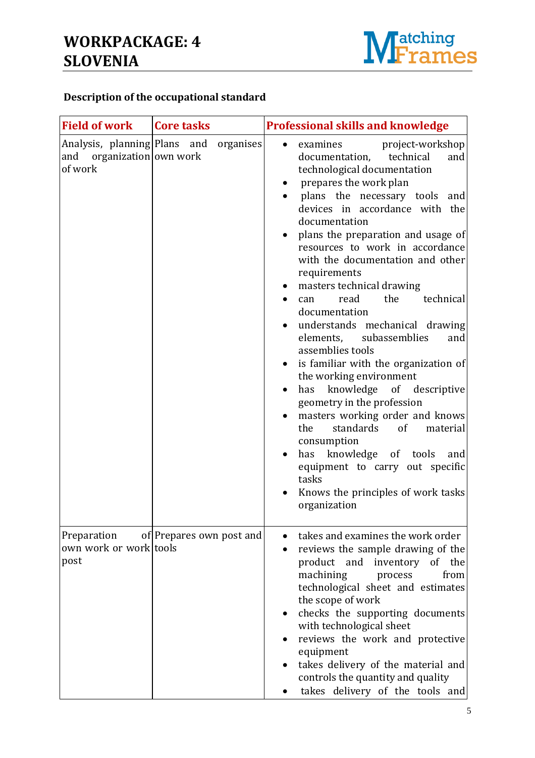

### **Description of the occupational standard**

| <b>Field of work</b>                                                 | <b>Core tasks</b>        | <b>Professional skills and knowledge</b>                                                                                                                                                                                                                                                                                                                                                                                                                                                                                                                                                                                                                                                                                                                                                                                                                                                                          |
|----------------------------------------------------------------------|--------------------------|-------------------------------------------------------------------------------------------------------------------------------------------------------------------------------------------------------------------------------------------------------------------------------------------------------------------------------------------------------------------------------------------------------------------------------------------------------------------------------------------------------------------------------------------------------------------------------------------------------------------------------------------------------------------------------------------------------------------------------------------------------------------------------------------------------------------------------------------------------------------------------------------------------------------|
| Analysis, planning Plans and<br>and organization own work<br>of work | organises                | examines<br>project-workshop<br>documentation,<br>technical<br>and<br>technological documentation<br>prepares the work plan<br>plans the necessary tools and<br>devices in accordance with the<br>documentation<br>plans the preparation and usage of<br>resources to work in accordance<br>with the documentation and other<br>requirements<br>masters technical drawing<br>$\bullet$<br>the<br>technical<br>read<br>can<br>$\bullet$<br>documentation<br>understands mechanical drawing<br>elements, subassemblies<br>and<br>assemblies tools<br>is familiar with the organization of<br>the working environment<br>knowledge of descriptive<br>has<br>geometry in the profession<br>masters working order and knows<br>standards<br>of<br>material<br>the<br>consumption<br>knowledge of tools<br>has<br>and<br>equipment to carry out specific<br>tasks<br>Knows the principles of work tasks<br>organization |
| Preparation<br>own work or work tools<br>post                        | of Prepares own post and | takes and examines the work order<br>reviews the sample drawing of the<br>product and<br>of the<br>inventory<br>machining<br>process<br>from<br>technological sheet and estimates<br>the scope of work<br>checks the supporting documents<br>with technological sheet<br>reviews the work and protective<br>equipment<br>takes delivery of the material and<br>controls the quantity and quality<br>takes delivery of the tools and                                                                                                                                                                                                                                                                                                                                                                                                                                                                               |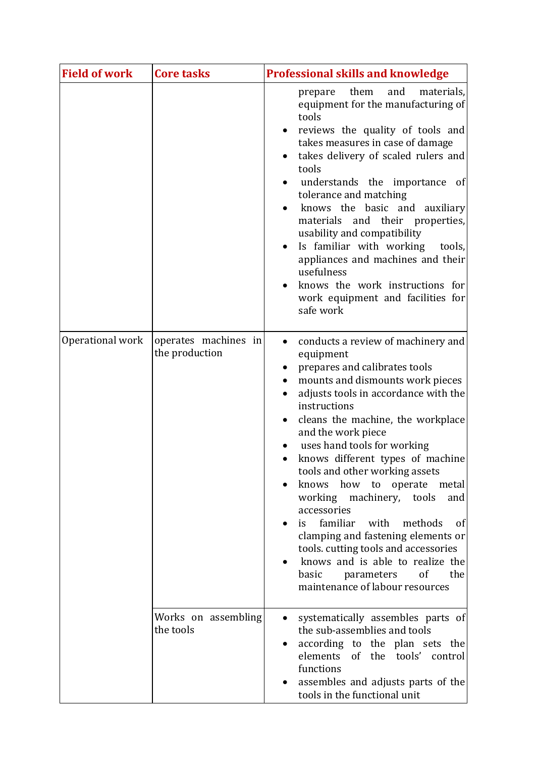| <b>Field of work</b> | <b>Core tasks</b>                      | <b>Professional skills and knowledge</b>                                                                                                                                                                                                                                                                                                                                                                                                                                                                                                                                                                                                                                      |
|----------------------|----------------------------------------|-------------------------------------------------------------------------------------------------------------------------------------------------------------------------------------------------------------------------------------------------------------------------------------------------------------------------------------------------------------------------------------------------------------------------------------------------------------------------------------------------------------------------------------------------------------------------------------------------------------------------------------------------------------------------------|
|                      |                                        | them<br>and<br>materials,<br>prepare<br>equipment for the manufacturing of<br>tools<br>reviews the quality of tools and<br>$\bullet$<br>takes measures in case of damage<br>takes delivery of scaled rulers and<br>tools<br>understands the importance<br>of<br>tolerance and matching<br>knows the basic and auxiliary<br>materials and their properties,<br>usability and compatibility<br>Is familiar with working tools,<br>appliances and machines and their<br>usefulness<br>knows the work instructions for<br>work equipment and facilities for<br>safe work                                                                                                          |
| Operational work     | operates machines in<br>the production | conducts a review of machinery and<br>$\bullet$<br>equipment<br>prepares and calibrates tools<br>mounts and dismounts work pieces<br>adjusts tools in accordance with the<br>instructions<br>cleans the machine, the workplace<br>and the work piece<br>uses hand tools for working<br>knows different types of machine<br>tools and other working assets<br>knows how to operate metal<br>working machinery, tools<br>and<br>accessories<br>familiar<br>with<br>methods<br>of<br>is<br>clamping and fastening elements or<br>tools. cutting tools and accessories<br>knows and is able to realize the<br>of<br>basic<br>the<br>parameters<br>maintenance of labour resources |
|                      | Works on assembling<br>the tools       | systematically assembles parts of<br>the sub-assemblies and tools<br>according to the plan sets the<br>elements<br>of the tools' control<br>functions<br>assembles and adjusts parts of the<br>tools in the functional unit                                                                                                                                                                                                                                                                                                                                                                                                                                                   |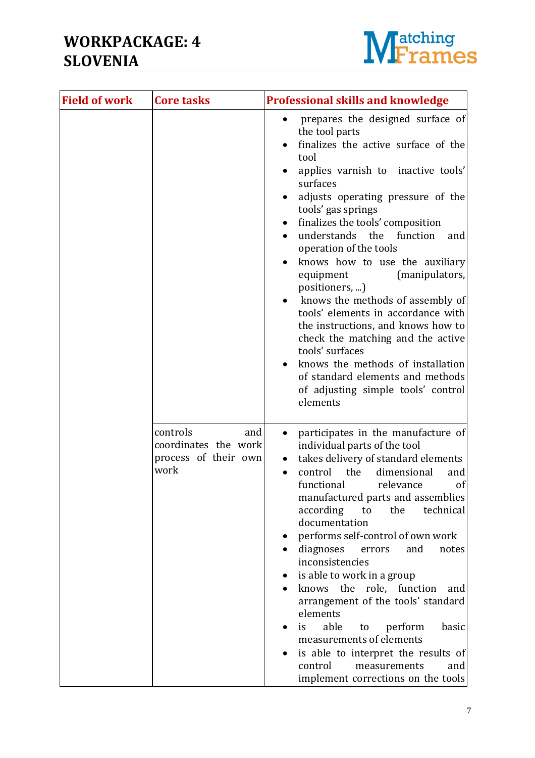

| <b>Field of work</b> | <b>Core tasks</b>                                                       | <b>Professional skills and knowledge</b>                                                                                                                                                                                                                                                                                                                                                                                                                                                                                                                                                                                                                                                                           |
|----------------------|-------------------------------------------------------------------------|--------------------------------------------------------------------------------------------------------------------------------------------------------------------------------------------------------------------------------------------------------------------------------------------------------------------------------------------------------------------------------------------------------------------------------------------------------------------------------------------------------------------------------------------------------------------------------------------------------------------------------------------------------------------------------------------------------------------|
|                      |                                                                         | prepares the designed surface of<br>the tool parts<br>finalizes the active surface of the<br>tool<br>applies varnish to inactive tools'<br>surfaces<br>adjusts operating pressure of the<br>tools' gas springs<br>finalizes the tools' composition<br>understands the function<br>and<br>$\bullet$<br>operation of the tools<br>knows how to use the auxiliary<br>(manipulators,<br>equipment<br>positioners, )<br>knows the methods of assembly of<br>tools' elements in accordance with<br>the instructions, and knows how to<br>check the matching and the active<br>tools' surfaces<br>knows the methods of installation<br>of standard elements and methods<br>of adjusting simple tools' control<br>elements |
|                      | controls<br>and<br>coordinates the work<br>process of their own<br>work | participates in the manufacture of<br>individual parts of the tool<br>takes delivery of standard elements<br>control<br>the<br>dimensional<br>and<br>$\bullet$<br>functional<br>relevance<br>of<br>manufactured parts and assemblies<br>according<br>the<br>technical<br>to<br>documentation<br>performs self-control of own work<br>diagnoses<br>and<br>notes<br>errors<br>inconsistencies<br>is able to work in a group<br>knows the role, function<br>and<br>arrangement of the tools' standard<br>elements<br>able<br>perform<br>basic<br>is<br>to<br>measurements of elements<br>is able to interpret the results of<br>control<br>measurements<br>and<br>implement corrections on the tools                  |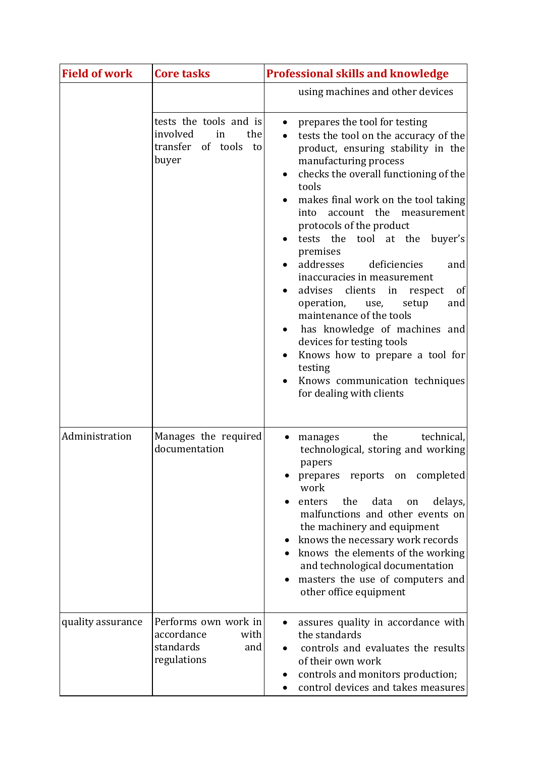| <b>Field of work</b> | <b>Core tasks</b>                                                                   | <b>Professional skills and knowledge</b>                                                                                                                                                                                                                                                                                                                                                                                                                                                                                                                                                                                                                                                                                     |
|----------------------|-------------------------------------------------------------------------------------|------------------------------------------------------------------------------------------------------------------------------------------------------------------------------------------------------------------------------------------------------------------------------------------------------------------------------------------------------------------------------------------------------------------------------------------------------------------------------------------------------------------------------------------------------------------------------------------------------------------------------------------------------------------------------------------------------------------------------|
|                      |                                                                                     | using machines and other devices                                                                                                                                                                                                                                                                                                                                                                                                                                                                                                                                                                                                                                                                                             |
|                      | tests the tools and is<br>involved<br>the<br>in<br>transfer of tools<br>to<br>buyer | prepares the tool for testing<br>$\bullet$<br>tests the tool on the accuracy of the<br>product, ensuring stability in the<br>manufacturing process<br>checks the overall functioning of the<br>tools<br>makes final work on the tool taking<br>account the<br>measurement<br>into<br>protocols of the product<br>tests the<br>tool at the<br>buyer's<br>premises<br>addresses<br>deficiencies<br>and<br>inaccuracies in measurement<br>clients<br>of<br>advises<br>in<br>respect<br>operation,<br>and<br>setup<br>use,<br>maintenance of the tools<br>has knowledge of machines and<br>devices for testing tools<br>Knows how to prepare a tool for<br>testing<br>Knows communication techniques<br>for dealing with clients |
| Administration       | Manages the required<br>documentation                                               | the<br>technical,<br>manages<br>technological, storing and working<br>papers<br>prepares reports<br>completed<br>on<br>work<br>data<br>enters<br>the<br>delays,<br>on<br>malfunctions and other events on<br>the machinery and equipment<br>knows the necessary work records<br>knows the elements of the working<br>and technological documentation<br>masters the use of computers and<br>other office equipment                                                                                                                                                                                                                                                                                                           |
| quality assurance    | Performs own work in<br>accordance<br>with<br>standards<br>and<br>regulations       | assures quality in accordance with<br>the standards<br>controls and evaluates the results<br>of their own work<br>controls and monitors production;<br>control devices and takes measures                                                                                                                                                                                                                                                                                                                                                                                                                                                                                                                                    |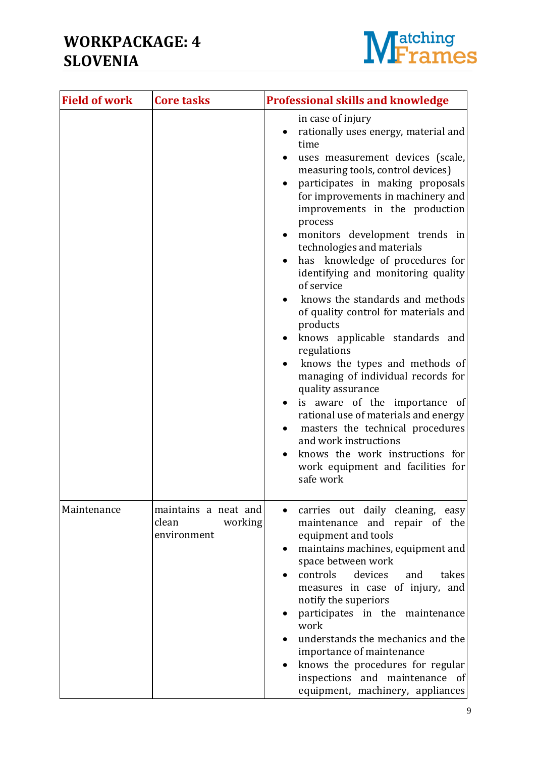

| <b>Field of work</b> | <b>Core tasks</b>                                       | <b>Professional skills and knowledge</b>                                                                                                                                                                                                                                                                                                                                                                                                                                                                                                                                                                                                                                                                                                                                                                                                                                                                                       |
|----------------------|---------------------------------------------------------|--------------------------------------------------------------------------------------------------------------------------------------------------------------------------------------------------------------------------------------------------------------------------------------------------------------------------------------------------------------------------------------------------------------------------------------------------------------------------------------------------------------------------------------------------------------------------------------------------------------------------------------------------------------------------------------------------------------------------------------------------------------------------------------------------------------------------------------------------------------------------------------------------------------------------------|
|                      |                                                         | in case of injury<br>rationally uses energy, material and<br>time<br>uses measurement devices (scale,<br>measuring tools, control devices)<br>participates in making proposals<br>for improvements in machinery and<br>improvements in the production<br>process<br>monitors development trends in<br>$\bullet$<br>technologies and materials<br>has knowledge of procedures for<br>identifying and monitoring quality<br>of service<br>knows the standards and methods<br>of quality control for materials and<br>products<br>knows applicable standards and<br>regulations<br>knows the types and methods of<br>managing of individual records for<br>quality assurance<br>is aware of the importance of<br>$\bullet$<br>rational use of materials and energy<br>masters the technical procedures<br>$\bullet$<br>and work instructions<br>knows the work instructions for<br>work equipment and facilities for<br>safe work |
| Maintenance          | maintains a neat and<br>working<br>clean<br>environment | carries out daily cleaning, easy<br>maintenance and repair of the<br>equipment and tools<br>maintains machines, equipment and<br>space between work<br>controls<br>devices<br>takes<br>and<br>measures in case of injury, and<br>notify the superiors<br>participates in the maintenance<br>work<br>understands the mechanics and the<br>importance of maintenance<br>knows the procedures for regular<br>inspections and maintenance of<br>equipment, machinery, appliances                                                                                                                                                                                                                                                                                                                                                                                                                                                   |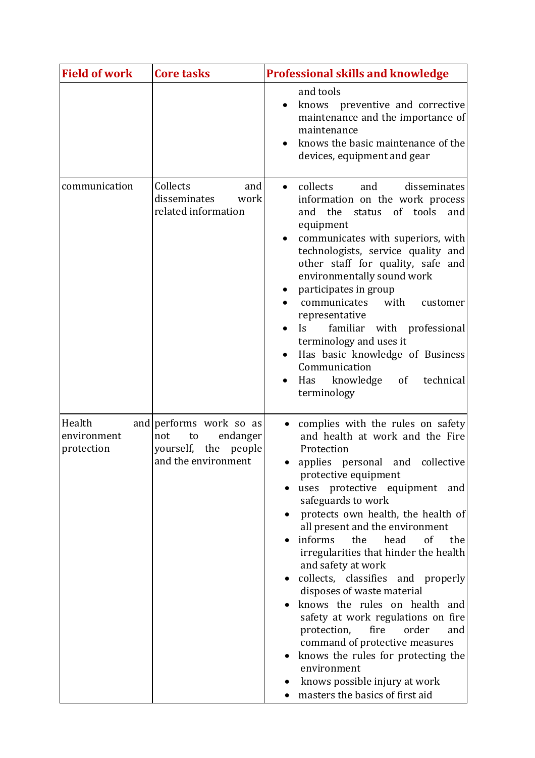| <b>Field of work</b>                | <b>Core tasks</b>                                                                                  | <b>Professional skills and knowledge</b>                                                                                                                                                                                                                                                                                                                                                                                                                                                                                                                                                                                                                                                                                                 |
|-------------------------------------|----------------------------------------------------------------------------------------------------|------------------------------------------------------------------------------------------------------------------------------------------------------------------------------------------------------------------------------------------------------------------------------------------------------------------------------------------------------------------------------------------------------------------------------------------------------------------------------------------------------------------------------------------------------------------------------------------------------------------------------------------------------------------------------------------------------------------------------------------|
|                                     |                                                                                                    | and tools<br>knows preventive and corrective<br>maintenance and the importance of<br>maintenance<br>knows the basic maintenance of the<br>devices, equipment and gear                                                                                                                                                                                                                                                                                                                                                                                                                                                                                                                                                                    |
| communication                       | Collects<br>and<br>disseminates<br>work<br>related information                                     | collects<br>and<br>disseminates<br>$\bullet$<br>information on the work process<br>of tools<br>and<br>the<br>status<br>and<br>equipment<br>communicates with superiors, with<br>technologists, service quality and<br>other staff for quality, safe and<br>environmentally sound work<br>participates in group<br>with<br>communicates<br>customer<br>representative<br>familiar with professional<br>Is<br>terminology and uses it<br>Has basic knowledge of Business<br>Communication<br>Has knowledge<br>of<br>technical<br>terminology                                                                                                                                                                                               |
| Health<br>environment<br>protection | and performs work so as<br>endanger<br>not<br>to<br>yourself, the<br>people<br>and the environment | complies with the rules on safety<br>and health at work and the Fire<br>Protection<br>applies<br>personal and<br>collective<br>protective equipment<br>uses protective equipment<br>and<br>safeguards to work<br>protects own health, the health of<br>all present and the environment<br>informs<br>the<br>head<br>of<br>the<br>irregularities that hinder the health<br>and safety at work<br>collects, classifies and properly<br>disposes of waste material<br>knows the rules on health and<br>safety at work regulations on fire<br>fire<br>protection,<br>order<br>and<br>command of protective measures<br>knows the rules for protecting the<br>environment<br>knows possible injury at work<br>masters the basics of first aid |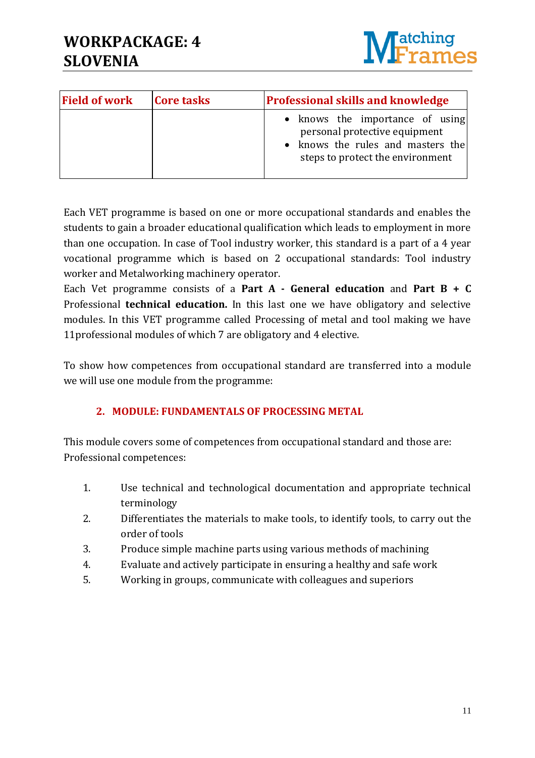

| <b>Field of work</b> | <b>Core tasks</b> | <b>Professional skills and knowledge</b>                                                                                                  |
|----------------------|-------------------|-------------------------------------------------------------------------------------------------------------------------------------------|
|                      |                   | • knows the importance of using<br>personal protective equipment<br>• knows the rules and masters the<br>steps to protect the environment |

Each VET programme is based on one or more occupational standards and enables the students to gain a broader educational qualification which leads to employment in more than one occupation. In case of Tool industry worker, this standard is a part of a 4 year vocational programme which is based on 2 occupational standards: Tool industry worker and Metalworking machinery operator.

Each Vet programme consists of a **Part A - General education** and **Part B + C** Professional **technical education.** In this last one we have obligatory and selective modules. In this VET programme called Processing of metal and tool making we have 11professional modules of which 7 are obligatory and 4 elective.

To show how competences from occupational standard are transferred into a module we will use one module from the programme:

### **2. MODULE: FUNDAMENTALS OF PROCESSING METAL**

This module covers some of competences from occupational standard and those are: Professional competences:

- 1. Use technical and technological documentation and appropriate technical terminology
- 2. Differentiates the materials to make tools, to identify tools, to carry out the order of tools
- 3. Produce simple machine parts using various methods of machining
- 4. Evaluate and actively participate in ensuring a healthy and safe work
- 5. Working in groups, communicate with colleagues and superiors